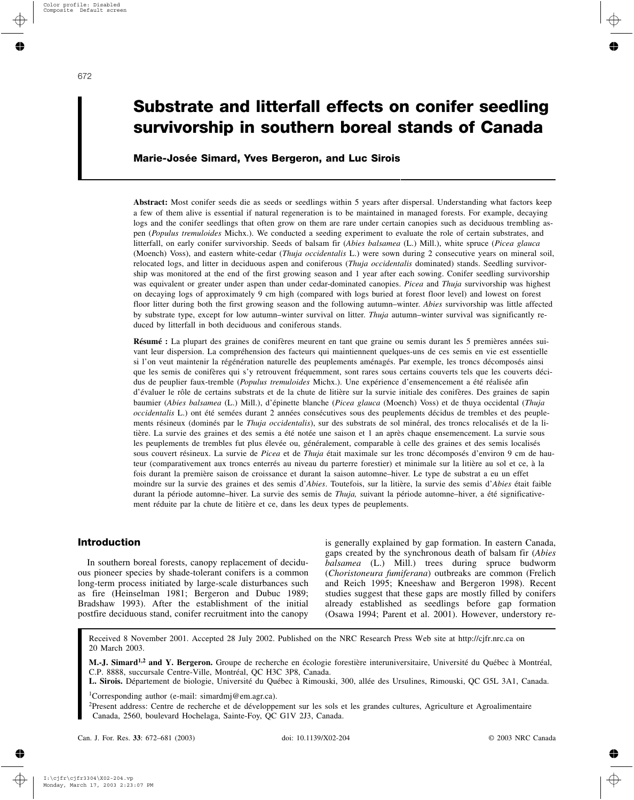# **Substrate and litterfall effects on conifer seedling survivorship in southern boreal stands of Canada**

**Marie-Josée Simard, Yves Bergeron, and Luc Sirois**

**Abstract:** Most conifer seeds die as seeds or seedlings within 5 years after dispersal. Understanding what factors keep a few of them alive is essential if natural regeneration is to be maintained in managed forests. For example, decaying logs and the conifer seedlings that often grow on them are rare under certain canopies such as deciduous trembling aspen (*Populus tremuloides* Michx.). We conducted a seeding experiment to evaluate the role of certain substrates, and litterfall, on early conifer survivorship. Seeds of balsam fir (*Abies balsamea* (L.) Mill.), white spruce (*Picea glauca* (Moench) Voss), and eastern white-cedar (*Thuja occidentalis* L.) were sown during 2 consecutive years on mineral soil, relocated logs, and litter in deciduous aspen and coniferous (*Thuja occidentalis* dominated) stands. Seedling survivorship was monitored at the end of the first growing season and 1 year after each sowing. Conifer seedling survivorship was equivalent or greater under aspen than under cedar-dominated canopies. *Picea* and *Thuja* survivorship was highest on decaying logs of approximately 9 cm high (compared with logs buried at forest floor level) and lowest on forest floor litter during both the first growing season and the following autumn–winter. *Abies* survivorship was little affected by substrate type, except for low autumn–winter survival on litter. *Thuja* autumn–winter survival was significantly reduced by litterfall in both deciduous and coniferous stands.

**Résumé :** La plupart des graines de conifères meurent en tant que graine ou semis durant les 5 premières années suivant leur dispersion. La compréhension des facteurs qui maintiennent quelques-uns de ces semis en vie est essentielle si l'on veut maintenir la régénération naturelle des peuplements aménagés. Par exemple, les troncs décomposés ainsi que les semis de conifères qui s'y retrouvent fréquemment, sont rares sous certains couverts tels que les couverts décidus de peuplier faux-tremble (*Populus tremuloides* Michx.). Une expérience d'ensemencement a été réalisée afin d'évaluer le rôle de certains substrats et de la chute de litière sur la survie initiale des conifères. Des graines de sapin baumier (*Abies balsamea* (L.) Mill.), d'épinette blanche (*Picea glauca* (Moench) Voss) et de thuya occidental (*Thuja occidentalis* L.) ont été semées durant 2 années consécutives sous des peuplements décidus de trembles et des peuplements résineux (dominés par le *Thuja occidentalis*), sur des substrats de sol minéral, des troncs relocalisés et de la litière. La survie des graines et des semis a été notée une saison et 1 an après chaque ensemencement. La survie sous les peuplements de trembles fut plus élevée ou, généralement, comparable à celle des graines et des semis localisés sous couvert résineux. La survie de *Picea* et de *Thuja* était maximale sur les tronc décomposés d'environ 9 cm de hauteur (comparativement aux troncs enterrés au niveau du parterre forestier) et minimale sur la litière au sol et ce, à la fois durant la première saison de croissance et durant la saison automne–hiver. Le type de substrat a eu un effet moindre sur la survie des graines et des semis d'*Abies*. Toutefois, sur la litière, la survie des semis d'*Abies* était faible durant la période automne–hiver. La survie des semis de *Thuja,* suivant la période automne–hiver, a été significativement réduite par la chute de litière et ce, dans les deux types de peuplements.

# **Introduction**

In southern boreal forests, canopy replacement of deciduous pioneer species by shade-tolerant conifers is a common long-term process initiated by large-scale disturbances such as fire (Heinselman 1981; Bergeron and Dubuc 1989; Bradshaw 1993). After the establishment of the initial postfire deciduous stand, conifer recruitment into the canopy

is generally explained by gap formation. In eastern Canada, gaps created by the synchronous death of balsam fir (*Abies balsamea* (L.) Mill.) trees during spruce budworm (*Choristoneura fumiferana*) outbreaks are common (Frelich and Reich 1995; Kneeshaw and Bergeron 1998). Recent studies suggest that these gaps are mostly filled by conifers already established as seedlings before gap formation (Osawa 1994; Parent et al. 2001). However, understory re-

Received 8 November 2001. Accepted 28 July 2002. Published on the NRC Research Press Web site at http://cjfr.nrc.ca on 20 March 2003.

**M.-J. Simard1,2 and Y. Bergeron.** Groupe de recherche en écologie forestière interuniversitaire, Université du Québec à Montréal, C.P. 8888, succursale Centre-Ville, Montréal, QC H3C 3P8, Canada.

**L. Sirois.** Département de biologie, Université du Québec à Rimouski, 300, allée des Ursulines, Rimouski, QC G5L 3A1, Canada.

<sup>1</sup>Corresponding author (e-mail: simardmj@em.agr.ca).

<sup>2</sup>Present address: Centre de recherche et de développement sur les sols et les grandes cultures, Agriculture et Agroalimentaire Canada, 2560, boulevard Hochelaga, Sainte-Foy, QC G1V 2J3, Canada.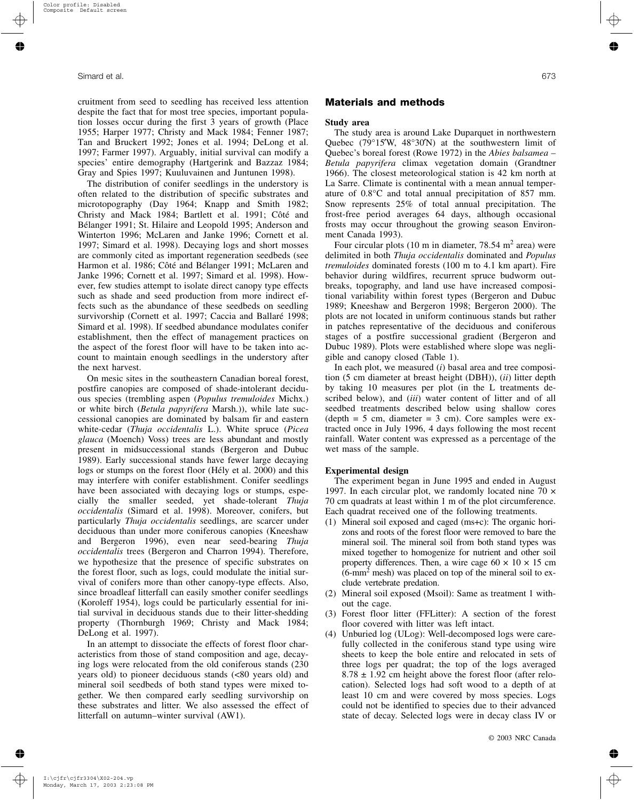cruitment from seed to seedling has received less attention despite the fact that for most tree species, important population losses occur during the first 3 years of growth (Place 1955; Harper 1977; Christy and Mack 1984; Fenner 1987; Tan and Bruckert 1992; Jones et al. 1994; DeLong et al. 1997; Farmer 1997). Arguably, initial survival can modify a species' entire demography (Hartgerink and Bazzaz 1984; Gray and Spies 1997; Kuuluvainen and Juntunen 1998).

The distribution of conifer seedlings in the understory is often related to the distribution of specific substrates and microtopography (Day 1964; Knapp and Smith 1982; Christy and Mack 1984; Bartlett et al. 1991; Côté and Bélanger 1991; St. Hilaire and Leopold 1995; Anderson and Winterton 1996; McLaren and Janke 1996; Cornett et al. 1997; Simard et al. 1998). Decaying logs and short mosses are commonly cited as important regeneration seedbeds (see Harmon et al. 1986; Côté and Bélanger 1991; McLaren and Janke 1996; Cornett et al. 1997; Simard et al. 1998). However, few studies attempt to isolate direct canopy type effects such as shade and seed production from more indirect effects such as the abundance of these seedbeds on seedling survivorship (Cornett et al. 1997; Caccia and Ballaré 1998; Simard et al. 1998). If seedbed abundance modulates conifer establishment, then the effect of management practices on the aspect of the forest floor will have to be taken into account to maintain enough seedlings in the understory after the next harvest.

On mesic sites in the southeastern Canadian boreal forest, postfire canopies are composed of shade-intolerant deciduous species (trembling aspen (*Populus tremuloides* Michx.) or white birch (*Betula papyrifera* Marsh.)), while late successional canopies are dominated by balsam fir and eastern white-cedar (*Thuja occidentalis* L.). White spruce (*Picea glauca* (Moench) Voss) trees are less abundant and mostly present in midsuccessional stands (Bergeron and Dubuc 1989). Early successional stands have fewer large decaying logs or stumps on the forest floor (Hély et al. 2000) and this may interfere with conifer establishment. Conifer seedlings have been associated with decaying logs or stumps, especially the smaller seeded, yet shade-tolerant *Thuja occidentalis* (Simard et al. 1998). Moreover, conifers, but particularly *Thuja occidentalis* seedlings, are scarcer under deciduous than under more coniferous canopies (Kneeshaw and Bergeron 1996), even near seed-bearing *Thuja occidentalis* trees (Bergeron and Charron 1994). Therefore, we hypothesize that the presence of specific substrates on the forest floor, such as logs, could modulate the initial survival of conifers more than other canopy-type effects. Also, since broadleaf litterfall can easily smother conifer seedlings (Koroleff 1954), logs could be particularly essential for initial survival in deciduous stands due to their litter-shedding property (Thornburgh 1969; Christy and Mack 1984; DeLong et al. 1997).

In an attempt to dissociate the effects of forest floor characteristics from those of stand composition and age, decaying logs were relocated from the old coniferous stands (230 years old) to pioneer deciduous stands (<80 years old) and mineral soil seedbeds of both stand types were mixed together. We then compared early seedling survivorship on these substrates and litter. We also assessed the effect of litterfall on autumn–winter survival (AW1).

## **Materials and methods**

#### **Study area**

The study area is around Lake Duparquet in northwestern Quebec (79°15′W, 48°30′N) at the southwestern limit of Quebec's boreal forest (Rowe 1972) in the *Abies balsamea* – *Betula papyrifera* climax vegetation domain (Grandtner 1966). The closest meteorological station is 42 km north at La Sarre. Climate is continental with a mean annual temperature of 0.8°C and total annual precipitation of 857 mm. Snow represents 25% of total annual precipitation. The frost-free period averages 64 days, although occasional frosts may occur throughout the growing season Environment Canada 1993).

Four circular plots (10 m in diameter,  $78.54 \text{ m}^2$  area) were delimited in both *Thuja occidentalis* dominated and *Populus tremuloides* dominated forests (100 m to 4.1 km apart). Fire behavior during wildfires, recurrent spruce budworm outbreaks, topography, and land use have increased compositional variability within forest types (Bergeron and Dubuc 1989; Kneeshaw and Bergeron 1998; Bergeron 2000). The plots are not located in uniform continuous stands but rather in patches representative of the deciduous and coniferous stages of a postfire successional gradient (Bergeron and Dubuc 1989). Plots were established where slope was negligible and canopy closed (Table 1).

In each plot, we measured (*i*) basal area and tree composition (5 cm diameter at breast height (DBH)), (*ii*) litter depth by taking 10 measures per plot (in the L treatments described below), and (*iii*) water content of litter and of all seedbed treatments described below using shallow cores  $(depth = 5 cm, diameter = 3 cm)$ . Core samples were extracted once in July 1996, 4 days following the most recent rainfall. Water content was expressed as a percentage of the wet mass of the sample.

### **Experimental design**

The experiment began in June 1995 and ended in August 1997. In each circular plot, we randomly located nine  $70 \times$ 70 cm quadrats at least within 1 m of the plot circumference. Each quadrat received one of the following treatments.

- (1) Mineral soil exposed and caged (ms+c): The organic horizons and roots of the forest floor were removed to bare the mineral soil. The mineral soil from both stand types was mixed together to homogenize for nutrient and other soil property differences. Then, a wire cage  $60 \times 10 \times 15$  cm  $(6\text{-}mm^2 \text{ mesh})$  was placed on top of the mineral soil to exclude vertebrate predation.
- (2) Mineral soil exposed (Msoil): Same as treatment 1 without the cage.
- (3) Forest floor litter (FFLitter): A section of the forest floor covered with litter was left intact.
- (4) Unburied log (ULog): Well-decomposed logs were carefully collected in the coniferous stand type using wire sheets to keep the bole entire and relocated in sets of three logs per quadrat; the top of the logs averaged  $8.78 \pm 1.92$  cm height above the forest floor (after relocation). Selected logs had soft wood to a depth of at least 10 cm and were covered by moss species. Logs could not be identified to species due to their advanced state of decay. Selected logs were in decay class IV or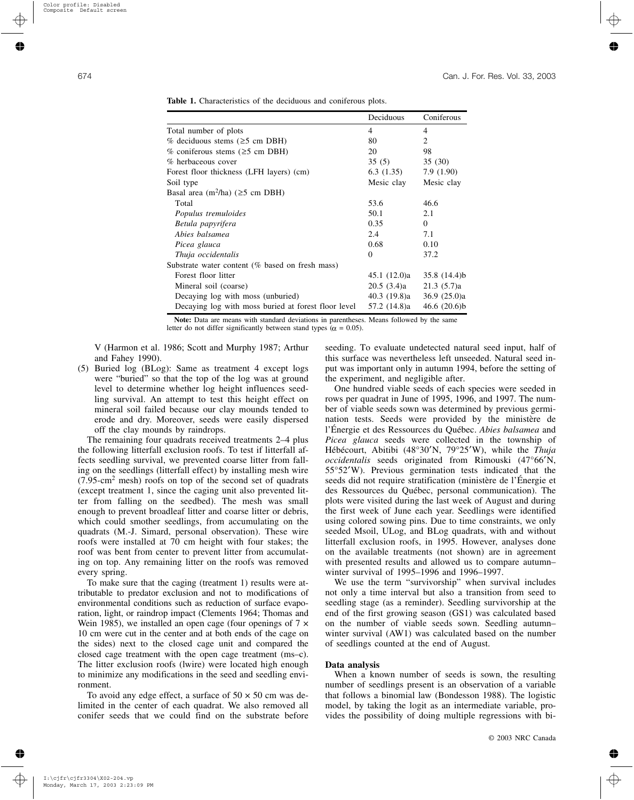|                                                     | Deciduous    | Coniferous     |
|-----------------------------------------------------|--------------|----------------|
| Total number of plots                               | 4            | 4              |
| % deciduous stems ( $\geq$ 5 cm DBH)                | 80           | $\mathfrak{D}$ |
| $\%$ coniferous stems ( $\geq$ 5 cm DBH)            | 20           | 98             |
| % herbaceous cover                                  | 35(5)        | 35 (30)        |
| Forest floor thickness (LFH layers) (cm)            | 6.3(1.35)    | 7.9(1.90)      |
| Soil type                                           | Mesic clay   | Mesic clay     |
| Basal area (m <sup>2</sup> /ha) ( $\geq$ 5 cm DBH)  |              |                |
| Total                                               | 53.6         | 46.6           |
| Populus tremuloides                                 | 50.1         | 2.1            |
| Betula papyrifera                                   | 0.35         | $\Omega$       |
| Abies balsamea                                      | 2.4          | 7.1            |
| Picea glauca                                        | 0.68         | 0.10           |
| Thuja occidentalis                                  | $\Omega$     | 37.2           |
| Substrate water content (% based on fresh mass)     |              |                |
| Forest floor litter                                 | 45.1 (12.0)a | 35.8(14.4)b    |
| Mineral soil (coarse)                               | 20.5(3.4)a   | 21.3(5.7)a     |
| Decaying log with moss (unburied)                   | 40.3 (19.8)a | 36.9 $(25.0)a$ |
| Decaying log with moss buried at forest floor level | 57.2 (14.8)a | 46.6 $(20.6)b$ |

| <b>Table 1.</b> Characteristics of the deciduous and coniferous plots. |  |
|------------------------------------------------------------------------|--|
|------------------------------------------------------------------------|--|

**Note:** Data are means with standard deviations in parentheses. Means followed by the same letter do not differ significantly between stand types ( $\alpha = 0.05$ ).

V (Harmon et al. 1986; Scott and Murphy 1987; Arthur and Fahey 1990).

(5) Buried log (BLog): Same as treatment 4 except logs were "buried" so that the top of the log was at ground level to determine whether log height influences seedling survival. An attempt to test this height effect on mineral soil failed because our clay mounds tended to erode and dry. Moreover, seeds were easily dispersed off the clay mounds by raindrops.

The remaining four quadrats received treatments 2–4 plus the following litterfall exclusion roofs. To test if litterfall affects seedling survival, we prevented coarse litter from falling on the seedlings (litterfall effect) by installing mesh wire  $(7.95 \text{-} \text{cm}^2 \text{ mesh})$  roofs on top of the second set of quadrats (except treatment 1, since the caging unit also prevented litter from falling on the seedbed). The mesh was small enough to prevent broadleaf litter and coarse litter or debris, which could smother seedlings, from accumulating on the quadrats (M.-J. Simard, personal observation). These wire roofs were installed at 70 cm height with four stakes; the roof was bent from center to prevent litter from accumulating on top. Any remaining litter on the roofs was removed every spring.

To make sure that the caging (treatment 1) results were attributable to predator exclusion and not to modifications of environmental conditions such as reduction of surface evaporation, light, or raindrop impact (Clements 1964; Thomas and Wein 1985), we installed an open cage (four openings of  $7 \times$ 10 cm were cut in the center and at both ends of the cage on the sides) next to the closed cage unit and compared the closed cage treatment with the open cage treatment (ms–c). The litter exclusion roofs (lwire) were located high enough to minimize any modifications in the seed and seedling environment.

To avoid any edge effect, a surface of  $50 \times 50$  cm was delimited in the center of each quadrat. We also removed all conifer seeds that we could find on the substrate before seeding. To evaluate undetected natural seed input, half of this surface was nevertheless left unseeded. Natural seed input was important only in autumn 1994, before the setting of the experiment, and negligible after.

One hundred viable seeds of each species were seeded in rows per quadrat in June of 1995, 1996, and 1997. The number of viable seeds sown was determined by previous germination tests. Seeds were provided by the ministère de l'Énergie et des Ressources du Québec. *Abies balsamea* and *Picea glauca* seeds were collected in the township of Hébécourt, Abitibi (48°30′N, 79°25′W), while the *Thuja occidentalis* seeds originated from Rimouski (47°66′N, 55°52′W). Previous germination tests indicated that the seeds did not require stratification (ministère de l'Énergie et des Ressources du Québec, personal communication). The plots were visited during the last week of August and during the first week of June each year. Seedlings were identified using colored sowing pins. Due to time constraints, we only seeded Msoil, ULog, and BLog quadrats, with and without litterfall exclusion roofs, in 1995. However, analyses done on the available treatments (not shown) are in agreement with presented results and allowed us to compare autumn– winter survival of 1995–1996 and 1996–1997.

We use the term "survivorship" when survival includes not only a time interval but also a transition from seed to seedling stage (as a reminder). Seedling survivorship at the end of the first growing season (GS1) was calculated based on the number of viable seeds sown. Seedling autumn– winter survival (AW1) was calculated based on the number of seedlings counted at the end of August.

## **Data analysis**

When a known number of seeds is sown, the resulting number of seedlings present is an observation of a variable that follows a binomial law (Bondesson 1988). The logistic model, by taking the logit as an intermediate variable, provides the possibility of doing multiple regressions with bi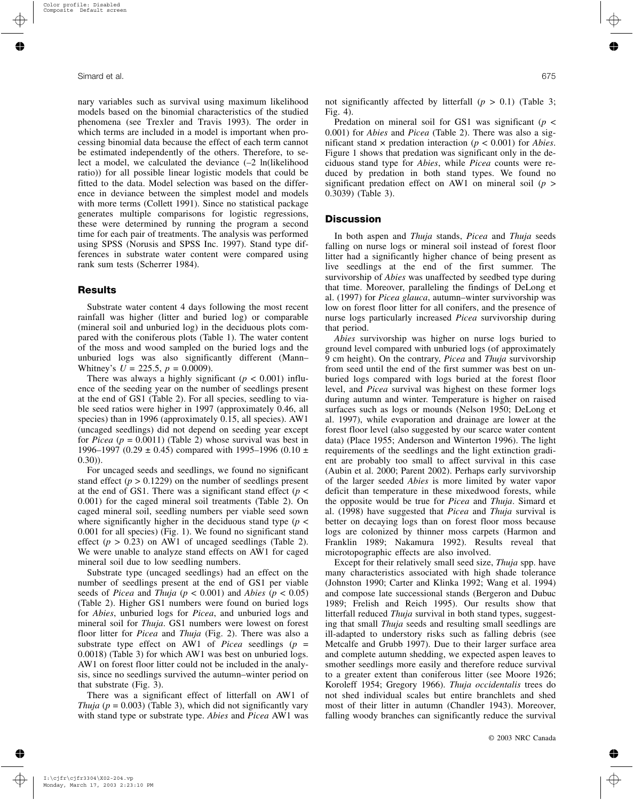nary variables such as survival using maximum likelihood models based on the binomial characteristics of the studied phenomena (see Trexler and Travis 1993). The order in which terms are included in a model is important when processing binomial data because the effect of each term cannot be estimated independently of the others. Therefore, to select a model, we calculated the deviance (–2 ln(likelihood ratio)) for all possible linear logistic models that could be fitted to the data. Model selection was based on the difference in deviance between the simplest model and models with more terms (Collett 1991). Since no statistical package generates multiple comparisons for logistic regressions, these were determined by running the program a second time for each pair of treatments. The analysis was performed using SPSS (Norusis and SPSS Inc. 1997). Stand type differences in substrate water content were compared using rank sum tests (Scherrer 1984).

# **Results**

Substrate water content 4 days following the most recent rainfall was higher (litter and buried log) or comparable (mineral soil and unburied log) in the deciduous plots compared with the coniferous plots (Table 1). The water content of the moss and wood sampled on the buried logs and the unburied logs was also significantly different (Mann– Whitney's *U* = 225.5, *p* = 0.0009).

There was always a highly significant  $(p < 0.001)$  influence of the seeding year on the number of seedlings present at the end of GS1 (Table 2). For all species, seedling to viable seed ratios were higher in 1997 (approximately 0.46, all species) than in 1996 (approximately 0.15, all species). AW1 (uncaged seedlings) did not depend on seeding year except for *Picea*  $(p = 0.0011)$  (Table 2) whose survival was best in 1996–1997 (0.29  $\pm$  0.45) compared with 1995–1996 (0.10  $\pm$ 0.30)).

For uncaged seeds and seedlings, we found no significant stand effect  $(p > 0.1229)$  on the number of seedlings present at the end of GS1. There was a significant stand effect ( $p <$ 0.001) for the caged mineral soil treatments (Table 2). On caged mineral soil, seedling numbers per viable seed sown where significantly higher in the deciduous stand type  $(p <$ 0.001 for all species) (Fig. 1). We found no significant stand effect  $(p > 0.23)$  on AW1 of uncaged seedlings (Table 2). We were unable to analyze stand effects on AW1 for caged mineral soil due to low seedling numbers.

Substrate type (uncaged seedlings) had an effect on the number of seedlings present at the end of GS1 per viable seeds of *Picea* and *Thuja* ( $p < 0.001$ ) and *Abies* ( $p < 0.05$ ) (Table 2). Higher GS1 numbers were found on buried logs for *Abies*, unburied logs for *Picea*, and unburied logs and mineral soil for *Thuja*. GS1 numbers were lowest on forest floor litter for *Picea* and *Thuja* (Fig. 2). There was also a substrate type effect on AW1 of *Picea* seedlings (*p* = 0.0018) (Table 3) for which AW1 was best on unburied logs. AW1 on forest floor litter could not be included in the analysis, since no seedlings survived the autumn–winter period on that substrate (Fig. 3).

There was a significant effect of litterfall on AW1 of *Thuja* ( $p = 0.003$ ) (Table 3), which did not significantly vary with stand type or substrate type. *Abies* and *Picea* AW1 was not significantly affected by litterfall  $(p > 0.1)$  (Table 3; Fig. 4).

Predation on mineral soil for GS1 was significant (*p* < 0.001) for *Abies* and *Picea* (Table 2). There was also a significant stand × predation interaction (*p* < 0.001) for *Abies*. Figure 1 shows that predation was significant only in the deciduous stand type for *Abies*, while *Picea* counts were reduced by predation in both stand types. We found no significant predation effect on AW1 on mineral soil (*p* > 0.3039) (Table 3).

# **Discussion**

In both aspen and *Thuja* stands, *Picea* and *Thuja* seeds falling on nurse logs or mineral soil instead of forest floor litter had a significantly higher chance of being present as live seedlings at the end of the first summer. The survivorship of *Abies* was unaffected by seedbed type during that time. Moreover, paralleling the findings of DeLong et al. (1997) for *Picea glauca*, autumn–winter survivorship was low on forest floor litter for all conifers, and the presence of nurse logs particularly increased *Picea* survivorship during that period.

*Abies* survivorship was higher on nurse logs buried to ground level compared with unburied logs (of approximately 9 cm height). On the contrary, *Picea* and *Thuja* survivorship from seed until the end of the first summer was best on unburied logs compared with logs buried at the forest floor level, and *Picea* survival was highest on these former logs during autumn and winter. Temperature is higher on raised surfaces such as logs or mounds (Nelson 1950; DeLong et al. 1997), while evaporation and drainage are lower at the forest floor level (also suggested by our scarce water content data) (Place 1955; Anderson and Winterton 1996). The light requirements of the seedlings and the light extinction gradient are probably too small to affect survival in this case (Aubin et al. 2000; Parent 2002). Perhaps early survivorship of the larger seeded *Abies* is more limited by water vapor deficit than temperature in these mixedwood forests, while the opposite would be true for *Picea* and *Thuja*. Simard et al. (1998) have suggested that *Picea* and *Thuja* survival is better on decaying logs than on forest floor moss because logs are colonized by thinner moss carpets (Harmon and Franklin 1989; Nakamura 1992). Results reveal that microtopographic effects are also involved.

Except for their relatively small seed size, *Thuja* spp. have many characteristics associated with high shade tolerance (Johnston 1990; Carter and Klinka 1992; Wang et al. 1994) and compose late successional stands (Bergeron and Dubuc 1989; Frelish and Reich 1995). Our results show that litterfall reduced *Thuja* survival in both stand types, suggesting that small *Thuja* seeds and resulting small seedlings are ill-adapted to understory risks such as falling debris (see Metcalfe and Grubb 1997). Due to their larger surface area and complete autumn shedding, we expected aspen leaves to smother seedlings more easily and therefore reduce survival to a greater extent than coniferous litter (see Moore 1926; Koroleff 1954; Gregory 1966). *Thuja occidentalis* trees do not shed individual scales but entire branchlets and shed most of their litter in autumn (Chandler 1943). Moreover, falling woody branches can significantly reduce the survival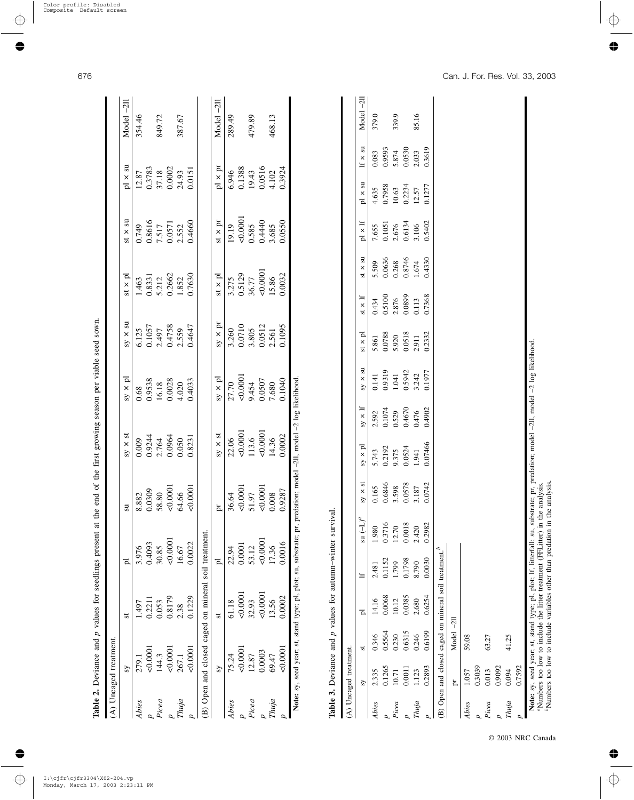|                        | Table 2. Deviance and p values for seedlings present at the end of the first growing season per viable seed sown<br>(A) Uncaged treatment.                                                                        |                             |                         |                 |                 |                            |                                                                               |                 |                   |                 |                 |                 |                                |                 |                 |                 |
|------------------------|-------------------------------------------------------------------------------------------------------------------------------------------------------------------------------------------------------------------|-----------------------------|-------------------------|-----------------|-----------------|----------------------------|-------------------------------------------------------------------------------|-----------------|-------------------|-----------------|-----------------|-----------------|--------------------------------|-----------------|-----------------|-----------------|
|                        | $\sqrt{S}$                                                                                                                                                                                                        |                             | $\overline{\mathbf{s}}$ | 고               |                 | $\rm{su}$                  | $\ensuremath{\mathsf{s}}\xspace$ $\times$<br>$\ensuremath{\mathsf{s}}\xspace$ |                 | $sy \times pl$    | $sy \times su$  |                 | $st \times pl$  | $st \times su$                 | $pl \times su$  |                 | $-211$<br>Model |
| Abies                  | 279.1                                                                                                                                                                                                             |                             | 1.497                   | 3.976           |                 | 8.882                      | 0.009                                                                         |                 | 0.68              | 6.125           |                 | 1.463           | 0.749                          | 12.87           |                 | 354.46          |
| Þ                      | 0.0001                                                                                                                                                                                                            |                             | 0.2211                  | 0.4093          |                 | 0.0309                     | 0.9244                                                                        |                 | 0.9538            | 0.1057          |                 | 0.8331          | 0.8616                         | 0.3783          |                 |                 |
| Picea                  | 144.3                                                                                                                                                                                                             |                             | 0.053                   | 30.85           |                 | 58.80                      | 2.764                                                                         |                 | 16.18             | 2.497           |                 | 5.212           | 7.517                          | 37.18           |                 | 849.72          |
|                        | 0.0001                                                                                                                                                                                                            |                             | 0.8179                  | 0.0001          |                 | 0.0001                     | 0.0964                                                                        |                 | 0.0028            | 0.4758          |                 | 0.2662          | 0.0571                         | 0.0002          |                 |                 |
| Thuja                  | 267.1                                                                                                                                                                                                             |                             | 2.38                    | 16.67           |                 | 64.66                      | 0.050                                                                         |                 | 4.020             | 2.559           |                 | 1.852           | 2.552                          | 24.93           |                 | 387.67          |
|                        | 0.0001                                                                                                                                                                                                            |                             | 0.1229                  | 0.0022          |                 | 0.0001                     | 0.8231                                                                        |                 | 0.4033            | 0.4647          |                 | 0.7630          | 0.4660                         | 0.0151          |                 |                 |
| $\widehat{\mathbf{B}}$ | Open                                                                                                                                                                                                              | and closed caged on mineral |                         | soil treatment. |                 |                            |                                                                               |                 |                   |                 |                 |                 |                                |                 |                 |                 |
|                        | Šγ                                                                                                                                                                                                                |                             | $\overline{\mathbf{s}}$ | Þ               |                 | pr                         | $sy \times st$                                                                |                 | $s$ y $\times$ pl | $sy \times pr$  |                 | $st \times pl$  | $\frac{1}{10} \times 15$       | $p1 \times pr$  |                 | $-211$<br>Model |
| Abies                  | 75.24                                                                                                                                                                                                             |                             | 61.18                   | 22.94           |                 | 36.64                      | 22.06                                                                         |                 | 27.70             | 3.260           |                 | 3.275           | 19.19                          | 6.946           |                 | 289.49          |
|                        | 0.0001                                                                                                                                                                                                            |                             | 0.0001                  | 0.0001          |                 | 0.0001                     | 0.0001                                                                        |                 | 0.0001            | 0.0710          |                 | 0.5129          | 0.0001                         | 0.1388          |                 |                 |
| Picea                  | 12.87                                                                                                                                                                                                             |                             | 32.93                   | 53.12           |                 | 51.97                      | 113.6                                                                         |                 | 9.454             | 3.805           |                 | 36.77           | 0.585                          | 19.43           |                 | 479.89          |
| $\overline{a}$         | 0.0003                                                                                                                                                                                                            |                             | 0.0001                  | 0.0001          |                 | 0.0001                     | 0.0001                                                                        |                 | 0.0507            | 0.0512          |                 | 0.0001          | 0.4440                         | 0.0516          |                 |                 |
| Thuja                  | 69.47                                                                                                                                                                                                             |                             | 13.56                   | 17.36           |                 | $0.008\,$                  | 14.36                                                                         |                 | 7.680             | 2.561           |                 | 15.86           | 3.685                          | 4.102           |                 | 468.13          |
| Þ                      | 0.0001                                                                                                                                                                                                            |                             | 0.0002                  | 0.0016          |                 | 0.9287                     | 0.0002                                                                        |                 | 0.1040            | 0.1095          |                 | 0.0032          | 0.0550                         | 0.3924          |                 |                 |
|                        | (A) Uncaged treatment.                                                                                                                                                                                            |                             |                         |                 |                 |                            |                                                                               |                 |                   |                 |                 |                 |                                |                 |                 |                 |
|                        | ζs                                                                                                                                                                                                                | 2                           | ᆷ                       | $\mathbf{H}$    | su $(-L)^d$     | ${\rm sy} \times {\rm st}$ | $sy \times pl$                                                                | sy $\times$ If  | $s_y \times s_u$  | $st \times pl$  | st $\times$ lf  | $st \times su$  | $\mathbf{p}l\times\mathbf{l}f$ | $pl \times su$  | If $\times$ su  | Model -211      |
| Abies                  | 2.335                                                                                                                                                                                                             | 0.346                       | 14.16                   | 2.481           | 1.980           | 0.165                      | 5.743                                                                         | 2.592           | 0.141             | 5.861           | 0.434           | 5.509           | 7.655                          | 4.635           | 0.083           | 379.0           |
| $\overline{a}$         | 0.1265                                                                                                                                                                                                            | 0.5564                      | 0.0068                  | 0.1152          | 0.3716          | 0.6846                     | 0.2192                                                                        | 0.1074          | 0.9319            | 0.0788          | 0.5100          | 0.0636          | 0.1051                         | 0.7958          | 0.9593          |                 |
| Picea                  | 10.71                                                                                                                                                                                                             | 0.230                       | 10.12                   | 1.799           | $12.70$         | 3.598                      | 9.375                                                                         | 0.529           | 1.041             | 5.920           | 2.876           | 0.268           | 2.676                          | 10.63           | 5.874           | 339.9           |
| Þ                      | 0.0011                                                                                                                                                                                                            | 0.6315                      | 0.0385                  | 0.1798          | 0.0018          | 0.0578                     | 0.0524                                                                        | 0.4670          | 0.5942            | 0.0518          | 0.0899          | 0.8746          | 0.6134                         | 0.2234          | 0.0530          |                 |
| Thuja                  | 0.2893<br>1.123                                                                                                                                                                                                   | 0.6199<br>0.246             | 0.6254<br>2.680         | 0.0030<br>8.790 | 0.2982<br>2.420 | 0.0742<br>3.187            | 0.07466<br>1.941                                                              | 0.4902<br>0.476 | 0.1977<br>3.242   | 0.2332<br>2.911 | 0.7368<br>0.113 | 0.4330<br>1.674 | 0.5402<br>3.106                | 0.1277<br>12.57 | 0.3619<br>2.033 | 85.16           |
| $\overline{a}$         | (B) Open and closed caged on mineral soil treatment. <sup><math>b</math></sup>                                                                                                                                    |                             |                         |                 |                 |                            |                                                                               |                 |                   |                 |                 |                 |                                |                 |                 |                 |
|                        | Ĕ                                                                                                                                                                                                                 | $\overline{15}$<br>Model    |                         |                 |                 |                            |                                                                               |                 |                   |                 |                 |                 |                                |                 |                 |                 |
| Abies                  | 1.057                                                                                                                                                                                                             | 59.08                       |                         |                 |                 |                            |                                                                               |                 |                   |                 |                 |                 |                                |                 |                 |                 |
| ρ                      | 0.3039                                                                                                                                                                                                            |                             |                         |                 |                 |                            |                                                                               |                 |                   |                 |                 |                 |                                |                 |                 |                 |
| Picea                  | 0.013                                                                                                                                                                                                             | 63.27                       |                         |                 |                 |                            |                                                                               |                 |                   |                 |                 |                 |                                |                 |                 |                 |
| $\overline{a}$         | 0.9092                                                                                                                                                                                                            |                             |                         |                 |                 |                            |                                                                               |                 |                   |                 |                 |                 |                                |                 |                 |                 |
| Thuja                  | 0.094                                                                                                                                                                                                             | 41.25                       |                         |                 |                 |                            |                                                                               |                 |                   |                 |                 |                 |                                |                 |                 |                 |
| $\sim$                 | 0.7592                                                                                                                                                                                                            |                             |                         |                 |                 |                            |                                                                               |                 |                   |                 |                 |                 |                                |                 |                 |                 |
|                        | Note: sy, seed year; st, stand type; pl, plot; lf, litterfall; su, substrate; pr, predation; model -2ll, model -2 log likelihood.<br>"Numbers too low to include the litter treatment (FFLitter) in the analysis. |                             |                         |                 |                 |                            |                                                                               |                 |                   |                 |                 |                 |                                |                 |                 |                 |
|                        | "Numbers too low to include variables other than predation in the analysis                                                                                                                                        |                             |                         |                 |                 |                            |                                                                               |                 |                   |                 |                 |                 |                                |                 |                 |                 |

© 2003 NRC Canada

676 Can. J. For. Res. Vol. 33, 2003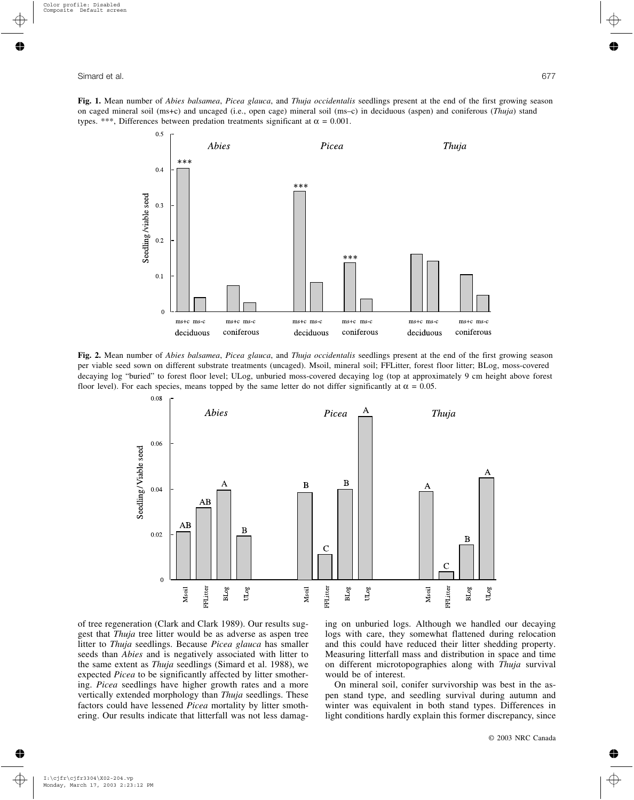**Fig. 1.** Mean number of *Abies balsamea*, *Picea glauca*, and *Thuja occidentalis* seedlings present at the end of the first growing season on caged mineral soil (ms+c) and uncaged (i.e., open cage) mineral soil (ms–c) in deciduous (aspen) and coniferous (*Thuja*) stand types. \*\*\*, Differences between predation treatments significant at  $\alpha = 0.001$ .



**Fig. 2.** Mean number of *Abies balsamea*, *Picea glauca*, and *Thuja occidentalis* seedlings present at the end of the first growing season per viable seed sown on different substrate treatments (uncaged). Msoil, mineral soil; FFLitter, forest floor litter; BLog, moss-covered decaying log "buried" to forest floor level; ULog, unburied moss-covered decaying log (top at approximately 9 cm height above forest floor level). For each species, means topped by the same letter do not differ significantly at  $\alpha = 0.05$ .



of tree regeneration (Clark and Clark 1989). Our results suggest that *Thuja* tree litter would be as adverse as aspen tree litter to *Thuja* seedlings. Because *Picea glauca* has smaller seeds than *Abies* and is negatively associated with litter to the same extent as *Thuja* seedlings (Simard et al. 1988), we expected *Picea* to be significantly affected by litter smothering. *Picea* seedlings have higher growth rates and a more vertically extended morphology than *Thuja* seedlings. These factors could have lessened *Picea* mortality by litter smothering. Our results indicate that litterfall was not less damaging on unburied logs. Although we handled our decaying logs with care, they somewhat flattened during relocation and this could have reduced their litter shedding property. Measuring litterfall mass and distribution in space and time on different microtopographies along with *Thuja* survival would be of interest.

On mineral soil, conifer survivorship was best in the aspen stand type, and seedling survival during autumn and winter was equivalent in both stand types. Differences in light conditions hardly explain this former discrepancy, since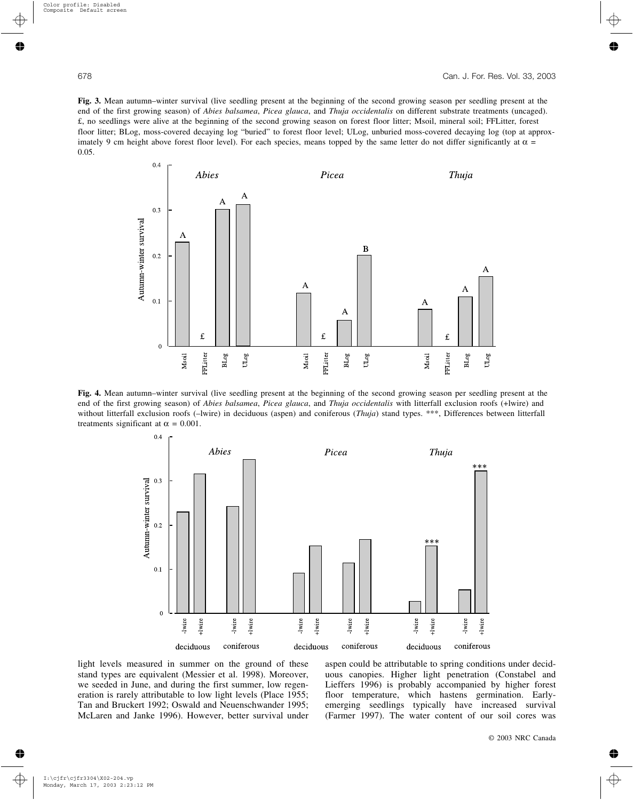**Fig. 3.** Mean autumn–winter survival (live seedling present at the beginning of the second growing season per seedling present at the end of the first growing season) of *Abies balsamea*, *Picea glauca*, and *Thuja occidentalis* on different substrate treatments (uncaged). £, no seedlings were alive at the beginning of the second growing season on forest floor litter; Msoil, mineral soil; FFLitter, forest floor litter; BLog, moss-covered decaying log "buried" to forest floor level; ULog, unburied moss-covered decaying log (top at approximately 9 cm height above forest floor level). For each species, means topped by the same letter do not differ significantly at  $\alpha$  = 0.05.



**Fig. 4.** Mean autumn–winter survival (live seedling present at the beginning of the second growing season per seedling present at the end of the first growing season) of *Abies balsamea*, *Picea glauca*, and *Thuja occidentalis* with litterfall exclusion roofs (+lwire) and without litterfall exclusion roofs (–lwire) in deciduous (aspen) and coniferous (*Thuja*) stand types. \*\*\*, Differences between litterfall treatments significant at  $\alpha = 0.001$ .



light levels measured in summer on the ground of these stand types are equivalent (Messier et al. 1998). Moreover, we seeded in June, and during the first summer, low regeneration is rarely attributable to low light levels (Place 1955; Tan and Bruckert 1992; Oswald and Neuenschwander 1995; McLaren and Janke 1996). However, better survival under aspen could be attributable to spring conditions under deciduous canopies. Higher light penetration (Constabel and Lieffers 1996) is probably accompanied by higher forest floor temperature, which hastens germination. Earlyemerging seedlings typically have increased survival (Farmer 1997). The water content of our soil cores was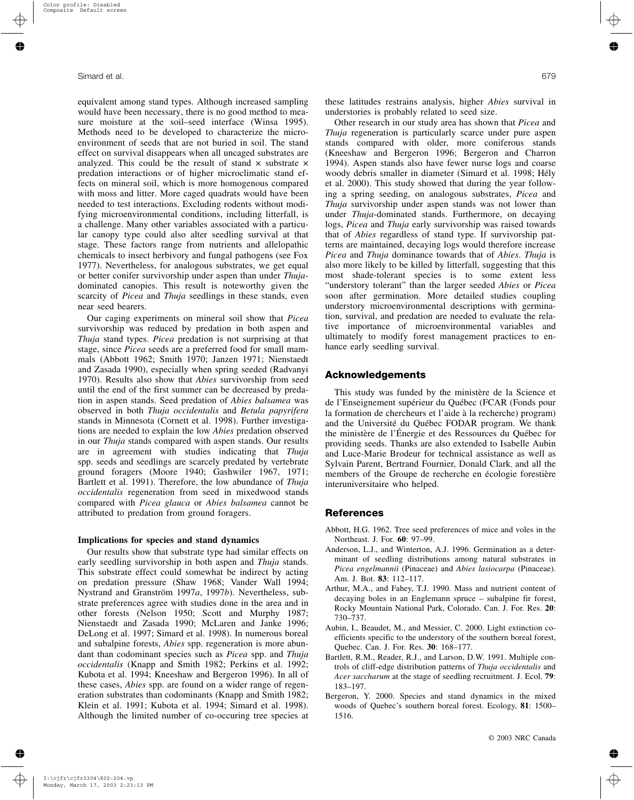equivalent among stand types. Although increased sampling would have been necessary, there is no good method to measure moisture at the soil–seed interface (Winsa 1995). Methods need to be developed to characterize the microenvironment of seeds that are not buried in soil. The stand effect on survival disappears when all uncaged substrates are analyzed. This could be the result of stand  $\times$  substrate  $\times$ predation interactions or of higher microclimatic stand effects on mineral soil, which is more homogenous compared with moss and litter. More caged quadrats would have been needed to test interactions. Excluding rodents without modifying microenvironmental conditions, including litterfall, is a challenge. Many other variables associated with a particular canopy type could also alter seedling survival at that stage. These factors range from nutrients and allelopathic chemicals to insect herbivory and fungal pathogens (see Fox 1977). Nevertheless, for analogous substrates, we get equal or better conifer survivorship under aspen than under *Thuja*dominated canopies. This result is noteworthy given the scarcity of *Picea* and *Thuja* seedlings in these stands, even near seed bearers.

Our caging experiments on mineral soil show that *Picea* survivorship was reduced by predation in both aspen and *Thuja* stand types. *Picea* predation is not surprising at that stage, since *Picea* seeds are a preferred food for small mammals (Abbott 1962; Smith 1970; Janzen 1971; Nienstaedt and Zasada 1990), especially when spring seeded (Radvanyi 1970). Results also show that *Abies* survivorship from seed until the end of the first summer can be decreased by predation in aspen stands. Seed predation of *Abies balsamea* was observed in both *Thuja occidentalis* and *Betula papyrifera* stands in Minnesota (Cornett et al. 1998). Further investigations are needed to explain the low *Abies* predation observed in our *Thuja* stands compared with aspen stands. Our results are in agreement with studies indicating that *Thuja* spp. seeds and seedlings are scarcely predated by vertebrate ground foragers (Moore 1940; Gashwiler 1967, 1971; Bartlett et al. 1991). Therefore, the low abundance of *Thuja occidentalis* regeneration from seed in mixedwood stands compared with *Picea glauca* or *Abies balsamea* cannot be attributed to predation from ground foragers.

#### **Implications for species and stand dynamics**

Our results show that substrate type had similar effects on early seedling survivorship in both aspen and *Thuja* stands. This substrate effect could somewhat be indirect by acting on predation pressure (Shaw 1968; Vander Wall 1994; Nystrand and Granström 1997*a*, 1997*b*). Nevertheless, substrate preferences agree with studies done in the area and in other forests (Nelson 1950; Scott and Murphy 1987; Nienstaedt and Zasada 1990; McLaren and Janke 1996; DeLong et al. 1997; Simard et al. 1998). In numerous boreal and subalpine forests, *Abies* spp. regeneration is more abundant than codominant species such as *Picea* spp. and *Thuja occidentalis* (Knapp and Smith 1982; Perkins et al. 1992; Kubota et al. 1994; Kneeshaw and Bergeron 1996). In all of these cases, *Abies* spp. are found on a wider range of regeneration substrates than codominants (Knapp and Smith 1982; Klein et al. 1991; Kubota et al. 1994; Simard et al. 1998). Although the limited number of co-occuring tree species at these latitudes restrains analysis, higher *Abies* survival in understories is probably related to seed size.

Other research in our study area has shown that *Picea* and *Thuja* regeneration is particularly scarce under pure aspen stands compared with older, more coniferous stands (Kneeshaw and Bergeron 1996; Bergeron and Charron 1994). Aspen stands also have fewer nurse logs and coarse woody debris smaller in diameter (Simard et al. 1998; Hély et al. 2000). This study showed that during the year following a spring seeding, on analogous substrates, *Picea* and *Thuja* survivorship under aspen stands was not lower than under *Thuja*-dominated stands. Furthermore, on decaying logs, *Picea* and *Thuja* early survivorship was raised towards that of *Abies* regardless of stand type. If survivorship patterns are maintained, decaying logs would therefore increase *Picea* and *Thuja* dominance towards that of *Abies*. *Thuja* is also more likely to be killed by litterfall, suggesting that this most shade-tolerant species is to some extent less "understory tolerant" than the larger seeded *Abies* or *Picea* soon after germination. More detailed studies coupling understory microenvironmental descriptions with germination, survival, and predation are needed to evaluate the relative importance of microenvironmental variables and ultimately to modify forest management practices to enhance early seedling survival.

# **Acknowledgements**

This study was funded by the ministère de la Science et de l'Enseignement supérieur du Québec (FCAR (Fonds pour la formation de chercheurs et l'aide à la recherche) program) and the Université du Québec FODAR program. We thank the ministère de l'Énergie et des Ressources du Québec for providing seeds. Thanks are also extended to Isabelle Aubin and Luce-Marie Brodeur for technical assistance as well as Sylvain Parent, Bertrand Fournier, Donald Clark, and all the members of the Groupe de recherche en écologie forestière interuniversitaire who helped.

# **References**

- Abbott, H.G. 1962. Tree seed preferences of mice and voles in the Northeast. J. For. **60**: 97–99.
- Anderson, L.J., and Winterton, A.J. 1996. Germination as a determinant of seedling distributions among natural substrates in *Picea engelmannii* (Pinaceae) and *Abies lasiocarpa* (Pinaceae). Am. J. Bot. **83**: 112–117.
- Arthur, M.A., and Fahey, T.J. 1990. Mass and nutrient content of decaying boles in an Englemann spruce – subalpine fir forest, Rocky Mountain National Park, Colorado. Can. J. For. Res. **20**: 730–737.
- Aubin, I., Beaudet, M., and Messier, C. 2000. Light extinction coefficients specific to the understory of the southern boreal forest, Quebec. Can. J. For. Res. **30**: 168–177.
- Bartlett, R.M., Reader, R.J., and Larson, D.W. 1991. Multiple controls of cliff-edge distribution patterns of *Thuja occidentalis* and *Acer saccharum* at the stage of seedling recruitment. J. Ecol. **79**: 183–197.
- Bergeron, Y. 2000. Species and stand dynamics in the mixed woods of Quebec's southern boreal forest. Ecology, **81**: 1500– 1516.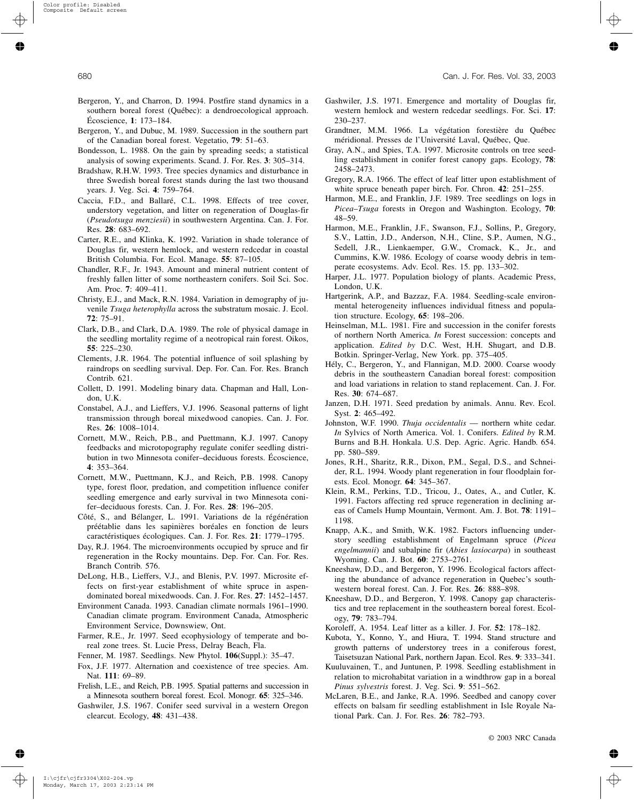- Bergeron, Y., and Charron, D. 1994. Postfire stand dynamics in a southern boreal forest (Québec): a dendroecological approach. Écoscience, **1**: 173–184.
- Bergeron, Y., and Dubuc, M. 1989. Succession in the southern part of the Canadian boreal forest. Vegetatio, **79**: 51–63.
- Bondesson, L. 1988. On the gain by spreading seeds; a statistical analysis of sowing experiments. Scand. J. For. Res. **3**: 305–314.
- Bradshaw, R.H.W. 1993. Tree species dynamics and disturbance in three Swedish boreal forest stands during the last two thousand years. J. Veg. Sci. **4**: 759–764.
- Caccia, F.D., and Ballaré, C.L. 1998. Effects of tree cover, understory vegetation, and litter on regeneration of Douglas-fir (*Pseudotsuga menziesii*) in southwestern Argentina. Can. J. For. Res. **28**: 683–692.
- Carter, R.E., and Klinka, K. 1992. Variation in shade tolerance of Douglas fir, western hemlock, and western redcedar in coastal British Columbia. For. Ecol. Manage. **55**: 87–105.
- Chandler, R.F., Jr. 1943. Amount and mineral nutrient content of freshly fallen litter of some northeastern conifers. Soil Sci. Soc. Am. Proc. **7**: 409–411.
- Christy, E.J., and Mack, R.N. 1984. Variation in demography of juvenile *Tsuga heterophylla* across the substratum mosaic. J. Ecol. **72**: 75–91.
- Clark, D.B., and Clark, D.A. 1989. The role of physical damage in the seedling mortality regime of a neotropical rain forest. Oikos, **55**: 225–230.
- Clements, J.R. 1964. The potential influence of soil splashing by raindrops on seedling survival. Dep. For. Can. For. Res. Branch Contrib. 621.
- Collett, D. 1991. Modeling binary data. Chapman and Hall, London, U.K.
- Constabel, A.J., and Lieffers, V.J. 1996. Seasonal patterns of light transmission through boreal mixedwood canopies. Can. J. For. Res. **26**: 1008–1014.
- Cornett, M.W., Reich, P.B., and Puettmann, K.J. 1997. Canopy feedbacks and microtopography regulate conifer seedling distribution in two Minnesota conifer–deciduous forests. Écoscience, **4**: 353–364.
- Cornett, M.W., Puettmann, K.J., and Reich, P.B. 1998. Canopy type, forest floor, predation, and competition influence conifer seedling emergence and early survival in two Minnesota conifer–deciduous forests. Can. J. For. Res. **28**: 196–205.
- Côté, S., and Bélanger, L. 1991. Variations de la régénération préétablie dans les sapinières boréales en fonction de leurs caractéristiques écologiques. Can. J. For. Res. **21**: 1779–1795.
- Day, R.J. 1964. The microenvironments occupied by spruce and fir regeneration in the Rocky mountains. Dep. For. Can. For. Res. Branch Contrib. 576.
- DeLong, H.B., Lieffers, V.J., and Blenis, P.V. 1997. Microsite effects on first-year establishment of white spruce in aspendominated boreal mixedwoods. Can. J. For. Res. **27**: 1452–1457.
- Environment Canada. 1993. Canadian climate normals 1961–1990. Canadian climate program. Environment Canada, Atmospheric Environment Service, Downswiew, Ont.
- Farmer, R.E., Jr. 1997. Seed ecophysiology of temperate and boreal zone trees. St. Lucie Press, Delray Beach, Fla.
- Fenner, M. 1987. Seedlings. New Phytol. **106**(Suppl.): 35–47.
- Fox, J.F. 1977. Alternation and coexistence of tree species. Am. Nat. **111**: 69–89.
- Frelish, L.E., and Reich, P.B. 1995. Spatial patterns and succession in a Minnesota southern boreal forest. Ecol. Monogr. **65**: 325–346.
- Gashwiler, J.S. 1967. Conifer seed survival in a western Oregon clearcut. Ecology, **48**: 431–438.
- Gashwiler, J.S. 1971. Emergence and mortality of Douglas fir, western hemlock and western redcedar seedlings. For. Sci. **17**: 230–237.
- Grandtner, M.M. 1966. La végétation forestière du Québec méridional. Presses de l'Université Laval, Québec, Que.
- Gray, A.N., and Spies, T.A. 1997. Microsite controls on tree seedling establishment in conifer forest canopy gaps. Ecology, **78**: 2458–2473.
- Gregory, R.A. 1966. The effect of leaf litter upon establishment of white spruce beneath paper birch. For. Chron. **42**: 251–255.
- Harmon, M.E., and Franklin, J.F. 1989. Tree seedlings on logs in *Picea*–*Tsuga* forests in Oregon and Washington. Ecology, **70**: 48–59.
- Harmon, M.E., Franklin, J.F., Swanson, F.J., Sollins, P., Gregory, S.V., Lattin, J.D., Anderson, N.H., Cline, S.P., Aumen, N.G., Sedell, J.R., Lienkaemper, G.W., Cromack, K., Jr., and Cummins, K.W. 1986. Ecology of coarse woody debris in temperate ecosystems. Adv. Ecol. Res. 15. pp. 133–302.
- Harper, J.L. 1977. Population biology of plants. Academic Press, London, U.K.
- Hartgerink, A.P., and Bazzaz, F.A. 1984. Seedling-scale environmental heterogeneity influences individual fitness and population structure. Ecology, **65**: 198–206.
- Heinselman, M.L. 1981. Fire and succession in the conifer forests of northern North America. *In* Forest succession: concepts and application. *Edited by* D.C. West, H.H. Shugart, and D.B. Botkin. Springer-Verlag, New York. pp. 375–405.
- Hély, C., Bergeron, Y., and Flannigan, M.D. 2000. Coarse woody debris in the southeastern Canadian boreal forest: composition and load variations in relation to stand replacement. Can. J. For. Res. **30**: 674–687.
- Janzen, D.H. 1971. Seed predation by animals. Annu. Rev. Ecol. Syst. **2**: 465–492.
- Johnston, W.F. 1990. *Thuja occidentalis* northern white cedar. *In* Sylvics of North America. Vol. 1. Conifers. *Edited by* R.M. Burns and B.H. Honkala. U.S. Dep. Agric. Agric. Handb. 654. pp. 580–589.
- Jones, R.H., Sharitz, R.R., Dixon, P.M., Segal, D.S., and Schneider, R.L. 1994. Woody plant regeneration in four floodplain forests. Ecol. Monogr. **64**: 345–367.
- Klein, R.M., Perkins, T.D., Tricou, J., Oates, A., and Cutler, K. 1991. Factors affecting red spruce regeneration in declining areas of Camels Hump Mountain, Vermont. Am. J. Bot. **78**: 1191– 1198.
- Knapp, A.K., and Smith, W.K. 1982. Factors influencing understory seedling establishment of Engelmann spruce (*Picea engelmannii*) and subalpine fir (*Abies lasiocarpa*) in southeast Wyoming. Can. J. Bot. **60**: 2753–2761.
- Kneeshaw, D.D., and Bergeron, Y. 1996. Ecological factors affecting the abundance of advance regeneration in Quebec's southwestern boreal forest. Can. J. For. Res. **26**: 888–898.
- Kneeshaw, D.D., and Bergeron, Y. 1998. Canopy gap characteristics and tree replacement in the southeastern boreal forest. Ecology, **79**: 783–794.
- Koroleff, A. 1954. Leaf litter as a killer. J. For. **52**: 178–182.
- Kubota, Y., Konno, Y., and Hiura, T. 1994. Stand structure and growth patterns of understorey trees in a coniferous forest, Taisetsuzan National Park, northern Japan. Ecol. Res. **9**: 333–341.
- Kuuluvainen, T., and Juntunen, P. 1998. Seedling establishment in relation to microhabitat variation in a windthrow gap in a boreal *Pinus sylvestris* forest. J. Veg. Sci. **9**: 551–562.
- McLaren, B.E., and Janke, R.A. 1996. Seedbed and canopy cover effects on balsam fir seedling establishment in Isle Royale National Park. Can. J. For. Res. **26**: 782–793.